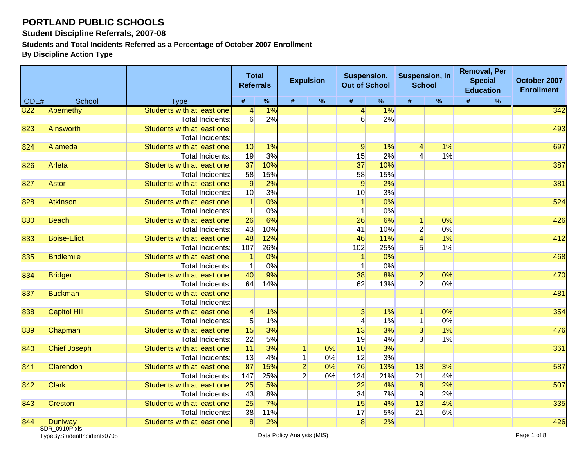### **Student Discipline Referrals, 2007-08**

**Students and Total Incidents Referred as a Percentage of October 2007 Enrollment**

**By Discipline Action Type**

|      |                          |                             | <b>Total</b><br><b>Referrals</b> |     | <b>Expulsion</b> |      | Suspension,<br><b>Out of School</b> |       | <b>Suspension, In</b><br><b>School</b> |      |            | <b>Removal, Per</b><br><b>Special</b><br><b>Education</b> | October 2007<br><b>Enrollment</b> |
|------|--------------------------|-----------------------------|----------------------------------|-----|------------------|------|-------------------------------------|-------|----------------------------------------|------|------------|-----------------------------------------------------------|-----------------------------------|
| ODE# | School                   | <b>Type</b>                 | $\pmb{\#}$                       | %   | $\#$             | $\%$ | $\pmb{\#}$                          | $\%$  | #                                      | $\%$ | $\pmb{\#}$ | $\%$                                                      |                                   |
| 822  | Abernethy                | Students with at least one: | $\vert 4 \vert$                  | 1%  |                  |      | $\overline{4}$                      | $1\%$ |                                        |      |            |                                                           | 342                               |
|      |                          | <b>Total Incidents:</b>     | 6                                | 2%  |                  |      | 6                                   | 2%    |                                        |      |            |                                                           |                                   |
| 823  | <b>Ainsworth</b>         | Students with at least one: |                                  |     |                  |      |                                     |       |                                        |      |            |                                                           | 493                               |
|      |                          | Total Incidents:            |                                  |     |                  |      |                                     |       |                                        |      |            |                                                           |                                   |
| 824  | Alameda                  | Students with at least one: | 10                               | 1%  |                  |      | $\overline{9}$                      | 1%    | $\overline{4}$                         | 1%   |            |                                                           | 697                               |
|      |                          | <b>Total Incidents:</b>     | 19                               | 3%  |                  |      | 15                                  | 2%    | $\overline{\mathcal{L}}$               | 1%   |            |                                                           |                                   |
| 826  | Arleta                   | Students with at least one: | 37                               | 10% |                  |      | 37                                  | 10%   |                                        |      |            |                                                           | 387                               |
|      |                          | <b>Total Incidents:</b>     | 58                               | 15% |                  |      | 58                                  | 15%   |                                        |      |            |                                                           |                                   |
| 827  | <b>Astor</b>             | Students with at least one: | $\overline{9}$                   | 2%  |                  |      | $\overline{9}$                      | 2%    |                                        |      |            |                                                           | 381                               |
|      |                          | Total Incidents:            | 10                               | 3%  |                  |      | 10                                  | 3%    |                                        |      |            |                                                           |                                   |
| 828  | Atkinson                 | Students with at least one: | $\overline{1}$                   | 0%  |                  |      | $\mathbf{1}$                        | 0%    |                                        |      |            |                                                           | 524                               |
|      |                          | Total Incidents:            | 1                                | 0%  |                  |      | $\mathbf 1$                         | 0%    |                                        |      |            |                                                           |                                   |
| 830  | <b>Beach</b>             | Students with at least one: | 26                               | 6%  |                  |      | 26                                  | 6%    | $\vert$                                | 0%   |            |                                                           | 426                               |
|      |                          | <b>Total Incidents:</b>     | 43                               | 10% |                  |      | 41                                  | 10%   | $\overline{2}$                         | 0%   |            |                                                           |                                   |
| 833  | <b>Boise-Eliot</b>       | Students with at least one: | 48                               | 12% |                  |      | 46                                  | 11%   | $\overline{4}$                         | 1%   |            |                                                           | 412                               |
|      |                          | <b>Total Incidents:</b>     | 107                              | 26% |                  |      | 102                                 | 25%   | 5 <sup>1</sup>                         | 1%   |            |                                                           |                                   |
| 835  | <b>Bridlemile</b>        | Students with at least one: | $\mathbf{1}$                     | 0%  |                  |      | 1                                   | 0%    |                                        |      |            |                                                           | 468                               |
|      |                          | Total Incidents:            | $\mathbf 1$                      | 0%  |                  |      | 1                                   | 0%    |                                        |      |            |                                                           |                                   |
| 834  | <b>Bridger</b>           | Students with at least one: | 40                               | 9%  |                  |      | 38                                  | 8%    | $\overline{2}$                         | 0%   |            |                                                           | 470                               |
|      |                          | Total Incidents:            | 64                               | 14% |                  |      | 62                                  | 13%   | $\overline{2}$                         | 0%   |            |                                                           |                                   |
| 837  | <b>Buckman</b>           | Students with at least one: |                                  |     |                  |      |                                     |       |                                        |      |            |                                                           | 481                               |
|      |                          | Total Incidents:            |                                  |     |                  |      |                                     |       |                                        |      |            |                                                           |                                   |
| 838  | <b>Capitol Hill</b>      | Students with at least one: | $\vert 4 \vert$                  | 1%  |                  |      | 3                                   | 1%    | $\mathbf{1}$                           | 0%   |            |                                                           | 354                               |
|      |                          | <b>Total Incidents:</b>     | 5 <sup>1</sup>                   | 1%  |                  |      | 4                                   | 1%    | 1                                      | 0%   |            |                                                           |                                   |
| 839  | Chapman                  | Students with at least one: | 15                               | 3%  |                  |      | 13                                  | 3%    | $\overline{3}$                         | 1%   |            |                                                           | 476                               |
|      |                          | <b>Total Incidents:</b>     | 22                               | 5%  |                  |      | 19                                  | 4%    | 31                                     | 1%   |            |                                                           |                                   |
| 840  | <b>Chief Joseph</b>      | Students with at least one: | $\overline{11}$                  | 3%  | 1                | 0%   | 10                                  | 3%    |                                        |      |            |                                                           | 361                               |
|      |                          | <b>Total Incidents:</b>     | 13                               | 4%  | 1                | 0%   | 12                                  | 3%    |                                        |      |            |                                                           |                                   |
| 841  | Clarendon                | Students with at least one  | 87                               | 15% | $\overline{2}$   | 0%   | 76                                  | 13%   | 18                                     | 3%   |            |                                                           | 587                               |
|      |                          | <b>Total Incidents:</b>     | 147                              | 25% | $\overline{2}$   | 0%   | 124                                 | 21%   | 21                                     | 4%   |            |                                                           |                                   |
| 842  | <b>Clark</b>             | Students with at least one: | 25                               | 5%  |                  |      | 22                                  | 4%    | $\overline{8}$                         | 2%   |            |                                                           | 507                               |
|      |                          | <b>Total Incidents:</b>     | 43                               | 8%  |                  |      | 34                                  | 7%    | 9                                      | 2%   |            |                                                           |                                   |
| 843  | <b>Creston</b>           | Students with at least one: | 25                               | 7%  |                  |      | 15                                  | 4%    | 13                                     | 4%   |            |                                                           | 335                               |
|      |                          | Total Incidents:            | 38                               | 11% |                  |      | 17                                  | 5%    | 21                                     | 6%   |            |                                                           |                                   |
| 844  | Duniway<br>CDD 0010D vld | Students with at least one: | $\overline{8}$                   | 2%  |                  |      | $\overline{8}$                      | 2%    |                                        |      |            |                                                           | 426                               |

SDR\_0910P.xls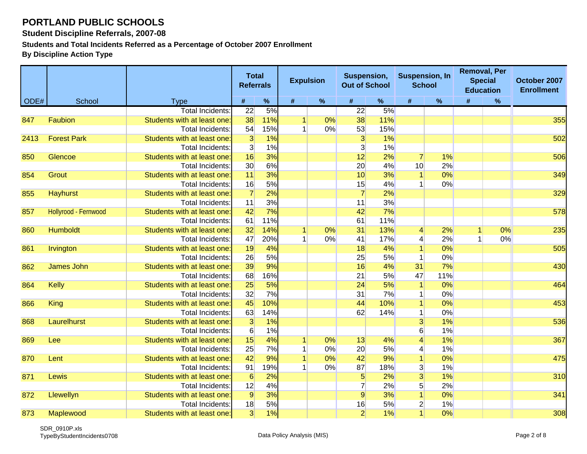### **Student Discipline Referrals, 2007-08**

**Students and Total Incidents Referred as a Percentage of October 2007 Enrollment**

|      |                      |                             | <b>Total</b><br><b>Referrals</b> |      |              | <b>Expulsion</b> | Suspension,<br><b>Out of School</b> |      | <b>Suspension, In</b> | <b>School</b> |         | <b>Removal, Per</b><br><b>Special</b><br><b>Education</b> | October 2007<br><b>Enrollment</b> |
|------|----------------------|-----------------------------|----------------------------------|------|--------------|------------------|-------------------------------------|------|-----------------------|---------------|---------|-----------------------------------------------------------|-----------------------------------|
| ODE# | School               | <b>Type</b>                 | #                                | $\%$ | #            | $\%$             | $\pmb{\#}$                          | $\%$ | #                     | $\%$          | #       | $\%$                                                      |                                   |
|      |                      | <b>Total Incidents:</b>     | 22                               | 5%   |              |                  | 22                                  | 5%   |                       |               |         |                                                           |                                   |
| 847  | Faubion              | Students with at least one: | 38                               | 11%  | $\mathbf{1}$ | 0%               | 38                                  | 11%  |                       |               |         |                                                           | 355                               |
|      |                      | <b>Total Incidents:</b>     | 54                               | 15%  |              | 0%               | 53                                  | 15%  |                       |               |         |                                                           |                                   |
| 2413 | <b>Forest Park</b>   | Students with at least one: | $\overline{3}$                   | 1%   |              |                  | $\overline{3}$                      | 1%   |                       |               |         |                                                           | 502                               |
|      |                      | <b>Total Incidents:</b>     | $\overline{3}$                   | 1%   |              |                  | 3                                   | 1%   |                       |               |         |                                                           |                                   |
| 850  | Glencoe              | Students with at least one: | 16                               | 3%   |              |                  | 12                                  | 2%   | $\overline{7}$        | 1%            |         |                                                           | 506                               |
|      |                      | Total Incidents:            | 30                               | 6%   |              |                  | 20                                  | 4%   | 10                    | 2%            |         |                                                           |                                   |
| 854  | <b>Grout</b>         | Students with at least one  | 11                               | 3%   |              |                  | 10                                  | 3%   | $\overline{1}$        | 0%            |         |                                                           | 349                               |
|      |                      | <b>Total Incidents:</b>     | 16                               | 5%   |              |                  | 15                                  | 4%   |                       | 0%            |         |                                                           |                                   |
| 855  | <b>Hayhurst</b>      | Students with at least one: | $\overline{7}$                   | 2%   |              |                  | $\overline{7}$                      | 2%   |                       |               |         |                                                           | 329                               |
|      |                      | Total Incidents:            | 11                               | 3%   |              |                  | 11                                  | 3%   |                       |               |         |                                                           |                                   |
| 857  | Hollyrood - Fernwood | Students with at least one: | 42                               | 7%   |              |                  | 42                                  | 7%   |                       |               |         |                                                           | 578                               |
|      |                      | Total Incidents:            | 61                               | 11%  |              |                  | 61                                  | 11%  |                       |               |         |                                                           |                                   |
| 860  | <b>Humboldt</b>      | Students with at least one: | 32                               | 14%  | $\vert$      | 0%               | 31                                  | 13%  | $\overline{4}$        | 2%            | $\vert$ | 0%                                                        | 235                               |
|      |                      | Total Incidents:            | 47                               | 20%  |              | 0%               | 41                                  | 17%  | $\overline{4}$        | 2%            |         | 0%                                                        |                                   |
| 861  | Irvington            | Students with at least one: | 19                               | 4%   |              |                  | 18                                  | 4%   | $\mathbf{1}$          | 0%            |         |                                                           | 505                               |
|      |                      | <b>Total Incidents:</b>     | 26                               | 5%   |              |                  | 25                                  | 5%   | 1                     | 0%            |         |                                                           |                                   |
| 862  | James John           | Students with at least one: | 39                               | 9%   |              |                  | 16                                  | 4%   | 31                    | 7%            |         |                                                           | 430                               |
|      |                      | <b>Total Incidents:</b>     | 68                               | 16%  |              |                  | 21                                  | 5%   | 47                    | 11%           |         |                                                           |                                   |
| 864  | <b>Kelly</b>         | Students with at least one: | 25                               | 5%   |              |                  | 24                                  | 5%   |                       | 0%            |         |                                                           | 464                               |
|      |                      | Total Incidents:            | 32                               | 7%   |              |                  | 31                                  | 7%   |                       | 0%            |         |                                                           |                                   |
| 866  | <b>King</b>          | Students with at least one: | 45                               | 10%  |              |                  | 44                                  | 10%  | 1                     | 0%            |         |                                                           | 453                               |
|      |                      | <b>Total Incidents:</b>     | 63                               | 14%  |              |                  | 62                                  | 14%  | 1                     | 0%            |         |                                                           |                                   |
| 868  | Laurelhurst          | Students with at least one: | $\overline{3}$                   | 1%   |              |                  |                                     |      | $\overline{3}$        | 1%            |         |                                                           | 536                               |
|      |                      | Total Incidents:            | 6                                | 1%   |              |                  |                                     |      | $6 \mid$              | 1%            |         |                                                           |                                   |
| 869  | Lee                  | Students with at least one: | 15                               | 4%   | $\mathbf 1$  | 0%               | 13                                  | 4%   | $\overline{4}$        | 1%            |         |                                                           | 367                               |
|      |                      | <b>Total Incidents:</b>     | 25                               | 7%   | 1            | 0%               | 20                                  | 5%   | 4                     | 1%            |         |                                                           |                                   |
| 870  | Lent                 | Students with at least one: | 42                               | 9%   |              | 0%               | 42                                  | 9%   |                       | 0%            |         |                                                           | 475                               |
|      |                      | Total Incidents:            | 91                               | 19%  |              | 0%               | 87                                  | 18%  | 3 <sup>1</sup>        | 1%            |         |                                                           |                                   |
| 871  | Lewis                | Students with at least one: | 6                                | 2%   |              |                  | $\overline{5}$                      | 2%   | $\overline{3}$        | 1%            |         |                                                           | 310                               |
|      |                      | <b>Total Incidents:</b>     | 12                               | 4%   |              |                  | $\overline{7}$                      | 2%   | 5 <sup>1</sup>        | 2%            |         |                                                           |                                   |
| 872  | Llewellyn            | Students with at least one: | $\overline{9}$                   | 3%   |              |                  | 9                                   | 3%   |                       | 0%            |         |                                                           | 341                               |
|      |                      | Total Incidents:            | 18                               | 5%   |              |                  | 16                                  | 5%   | $\overline{2}$        | 1%            |         |                                                           |                                   |
| 873  | Maplewood            | Students with at least one: | $\overline{3}$                   | 1%   |              |                  | $\overline{2}$                      | 1%   |                       | 0%            |         |                                                           | 308                               |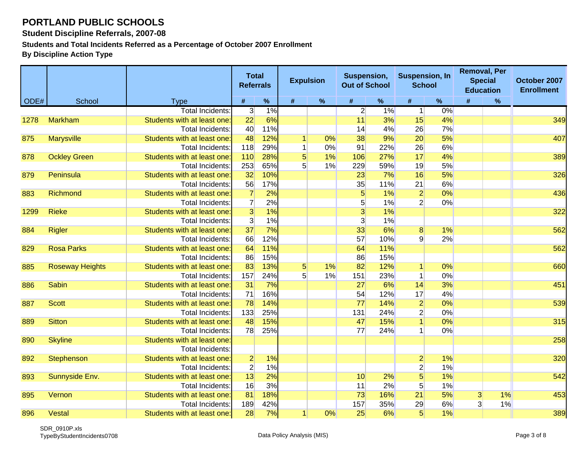### **Student Discipline Referrals, 2007-08**

**Students and Total Incidents Referred as a Percentage of October 2007 Enrollment**

|      |                        |                             | <b>Total</b><br><b>Referrals</b> |      |                      | <b>Expulsion</b> | Suspension,<br><b>Out of School</b> |      | <b>Suspension, In</b><br><b>School</b> |      | <b>Special</b> | <b>Removal, Per</b><br><b>Education</b> | October 2007<br><b>Enrollment</b> |
|------|------------------------|-----------------------------|----------------------------------|------|----------------------|------------------|-------------------------------------|------|----------------------------------------|------|----------------|-----------------------------------------|-----------------------------------|
| ODE# | School                 | <b>Type</b>                 | $\pmb{\#}$                       | $\%$ | #                    | $\%$             | $\pmb{\#}$                          | $\%$ | #                                      | $\%$ | $\#$           | $\%$                                    |                                   |
|      |                        | <b>Total Incidents:</b>     | $\vert 3 \vert$                  | 1%   |                      |                  | 2 <sup>2</sup>                      | 1%   | $\vert$ 1                              | 0%   |                |                                         |                                   |
| 1278 | <b>Markham</b>         | Students with at least one: | 22                               | 6%   |                      |                  | 11                                  | 3%   | 15                                     | 4%   |                |                                         | 349                               |
|      |                        | <b>Total Incidents:</b>     | 40                               | 11%  |                      |                  | 14                                  | 4%   | 26                                     | 7%   |                |                                         |                                   |
| 875  | <b>Marysville</b>      | Students with at least one: | 48                               | 12%  |                      | 0%               | 38                                  | 9%   | 20                                     | 5%   |                |                                         | 407                               |
|      |                        | Total Incidents:            | 118                              | 29%  | 1                    | 0%               | 91                                  | 22%  | 26                                     | 6%   |                |                                         |                                   |
| 878  | <b>Ockley Green</b>    | Students with at least one: | 110                              | 28%  | $5\overline{)}$      | 1%               | 106                                 | 27%  | 17                                     | 4%   |                |                                         | 389                               |
|      |                        | Total Incidents:            | 253                              | 65%  | 5                    | 1%               | 229                                 | 59%  | 19                                     | 5%   |                |                                         |                                   |
| 879  | Peninsula              | Students with at least one: | 32                               | 10%  |                      |                  | 23                                  | 7%   | 16                                     | 5%   |                |                                         | 326                               |
|      |                        | Total Incidents:            | 56                               | 17%  |                      |                  | 35                                  | 11%  | 21                                     | 6%   |                |                                         |                                   |
| 883  | Richmond               | Students with at least one: | $\overline{7}$                   | 2%   |                      |                  | $\overline{5}$                      | 1%   | $\overline{2}$                         | 0%   |                |                                         | 436                               |
|      |                        | Total Incidents:            | $\overline{7}$                   | 2%   |                      |                  | 5                                   | 1%   | $\overline{2}$                         | 0%   |                |                                         |                                   |
| 1299 | <b>Rieke</b>           | Students with at least one: | $\overline{3}$                   | 1%   |                      |                  | $\overline{3}$                      | 1%   |                                        |      |                |                                         | 322                               |
|      |                        | <b>Total Incidents:</b>     | $\overline{3}$                   | 1%   |                      |                  | $\overline{3}$                      | 1%   |                                        |      |                |                                         |                                   |
| 884  | <b>Rigler</b>          | Students with at least one: | 37                               | 7%   |                      |                  | 33                                  | 6%   | $\overline{8}$                         | 1%   |                |                                         | 562                               |
|      |                        | Total Incidents:            | 66                               | 12%  |                      |                  | 57                                  | 10%  | $\mathbf{Q}$                           | 2%   |                |                                         |                                   |
| 829  | <b>Rosa Parks</b>      | Students with at least one: | 64                               | 11%  |                      |                  | 64                                  | 11%  |                                        |      |                |                                         | 562                               |
|      |                        | <b>Total Incidents:</b>     | 86                               | 15%  |                      |                  | 86                                  | 15%  |                                        |      |                |                                         |                                   |
| 885  | <b>Roseway Heights</b> | Students with at least one: | 83                               | 13%  | 5 <sup>5</sup>       | 1%               | 82                                  | 12%  | $\mathbf{1}$                           | 0%   |                |                                         | 660                               |
|      |                        | <b>Total Incidents:</b>     | 157                              | 24%  | $5 \mid$             | 1%               | 151                                 | 23%  | 1                                      | 0%   |                |                                         |                                   |
| 886  | <b>Sabin</b>           | Students with at least one: | 31                               | 7%   |                      |                  | 27                                  | 6%   | 14                                     | 3%   |                |                                         | 451                               |
|      |                        | <b>Total Incidents:</b>     | 71                               | 16%  |                      |                  | 54                                  | 12%  | 17                                     | 4%   |                |                                         |                                   |
| 887  | <b>Scott</b>           | Students with at least one: | 78                               | 14%  |                      |                  | 77                                  | 14%  | $\overline{2}$                         | 0%   |                |                                         | 539                               |
|      |                        | <b>Total Incidents:</b>     | 133                              | 25%  |                      |                  | 131                                 | 24%  | $\overline{2}$                         | 0%   |                |                                         |                                   |
| 889  | <b>Sitton</b>          | Students with at least one: | 48                               | 15%  |                      |                  | 47                                  | 15%  |                                        | 0%   |                |                                         | 315                               |
|      |                        | Total Incidents:            | 78                               | 25%  |                      |                  | 77                                  | 24%  |                                        | 0%   |                |                                         |                                   |
| 890  | <b>Skyline</b>         | Students with at least one: |                                  |      |                      |                  |                                     |      |                                        |      |                |                                         | 258                               |
|      |                        | Total Incidents:            |                                  |      |                      |                  |                                     |      |                                        |      |                |                                         |                                   |
| 892  | Stephenson             | Students with at least one: | $\overline{2}$                   | 1%   |                      |                  |                                     |      | $\overline{2}$                         | 1%   |                |                                         | 320                               |
|      |                        | <b>Total Incidents:</b>     | $\overline{2}$                   | 1%   |                      |                  |                                     |      | $\overline{2}$                         | 1%   |                |                                         |                                   |
| 893  | Sunnyside Env.         | Students with at least one: | 13                               | 2%   |                      |                  | 10                                  | 2%   | $5\overline{)}$                        | 1%   |                |                                         | 542                               |
|      |                        | Total Incidents:            | 16                               | 3%   |                      |                  | 11                                  | 2%   | 5 <sup>5</sup>                         | 1%   |                |                                         |                                   |
| 895  | Vernon                 | Students with at least one: | 81                               | 18%  |                      |                  | 73                                  | 16%  | 21                                     | 5%   | $\overline{3}$ | 1%                                      | 453                               |
|      |                        | Total Incidents:            | 189                              | 42%  |                      |                  | 157                                 | 35%  | 29                                     | 6%   | 3              | 1%                                      |                                   |
| 896  | <b>Vestal</b>          | Students with at least one: | 28                               | 7%   | $\blacktriangleleft$ | 0%               | 25                                  | 6%   | $\overline{5}$                         | 1%   |                |                                         | 389                               |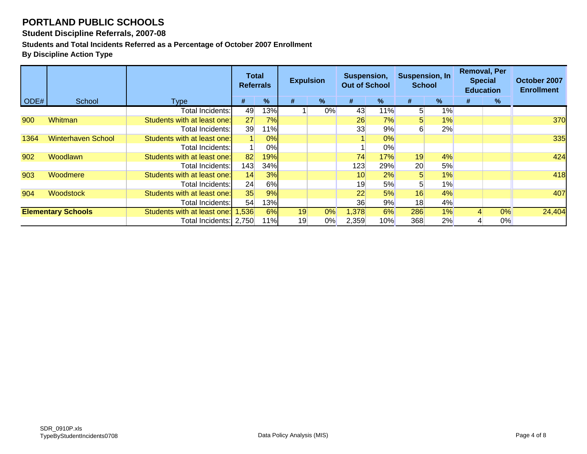#### **Student Discipline Referrals, 2007-08**

### **Students and Total Incidents Referred as a Percentage of October 2007 Enrollment**

|      |                           |                             | <b>Total</b><br><b>Referrals</b> |     | <b>Expulsion</b> |       | Suspension,<br><b>Out of School</b> |       | <b>Suspension, In</b><br><b>School</b> |    | <b>Removal, Per</b><br><b>Special</b><br><b>Education</b> |    | October 2007<br><b>Enrollment</b> |
|------|---------------------------|-----------------------------|----------------------------------|-----|------------------|-------|-------------------------------------|-------|----------------------------------------|----|-----------------------------------------------------------|----|-----------------------------------|
| ODE# | School                    | <b>Type</b>                 | #                                | %   | #                | $\%$  | #                                   | $\%$  | #                                      | %  | #                                                         | %  |                                   |
|      |                           | Total Incidents:            | 49                               | 13% |                  | 0%    | 43                                  | 11%   |                                        | 1% |                                                           |    |                                   |
| 900  | <b>Whitman</b>            | Students with at least one: | 27                               | 7%  |                  |       | 26                                  | 7%    |                                        | 1% |                                                           |    | 370                               |
|      |                           | Total Incidents:            | 39                               | 11% |                  |       | 33                                  | 9%    | 6                                      | 2% |                                                           |    |                                   |
| 1364 | <b>Winterhaven School</b> | Students with at least one: |                                  | 0%  |                  |       |                                     | $0\%$ |                                        |    |                                                           |    | 335                               |
|      |                           | Total Incidents:            |                                  | 0%  |                  |       |                                     | 0%    |                                        |    |                                                           |    |                                   |
| 902  | Woodlawn                  | Students with at least one: | 82                               | 19% |                  |       | 74                                  | 17%   | 19                                     | 4% |                                                           |    | 424                               |
|      |                           | Total Incidents:            | 143                              | 34% |                  |       | 123                                 | 29%   | 20                                     | 5% |                                                           |    |                                   |
| 903  | Woodmere                  | Students with at least one: | 14                               | 3%  |                  |       | 10                                  | 2%    |                                        | 1% |                                                           |    | 418                               |
|      |                           | Total Incidents:            | 24                               | 6%  |                  |       | 19                                  | 5%    |                                        | 1% |                                                           |    |                                   |
| 904  | <b>Woodstock</b>          | Students with at least one: | 35                               | 9%  |                  |       | 22                                  | 5%    | 16                                     | 4% |                                                           |    | 407                               |
|      |                           | Total Incidents:            | 54                               | 13% |                  |       | 36                                  | 9%    | 18                                     | 4% |                                                           |    |                                   |
|      | <b>Elementary Schools</b> | Students with at least one: | 1,536                            | 6%  | 19               | 0%    | 1,378                               | 6%    | 286                                    |    | 1%<br>0%                                                  |    | 24,404                            |
|      |                           | Total Incidents: 2,750      |                                  | 11% | 19               | $0\%$ | 2,359                               | 10%   | 368                                    | 2% |                                                           | 0% |                                   |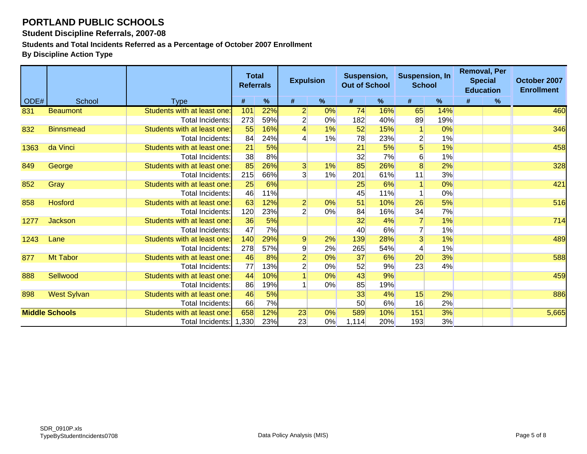### **Student Discipline Referrals, 2007-08**

**Students and Total Incidents Referred as a Percentage of October 2007 Enrollment**

|      |                       |                             | <b>Total</b><br><b>Referrals</b> |     | <b>Expulsion</b> |       | Suspension,<br><b>Out of School</b> |      | <b>Suspension, In</b><br><b>School</b> |      | <b>Removal, Per</b><br><b>Special</b><br><b>Education</b> |               | October 2007<br><b>Enrollment</b> |
|------|-----------------------|-----------------------------|----------------------------------|-----|------------------|-------|-------------------------------------|------|----------------------------------------|------|-----------------------------------------------------------|---------------|-----------------------------------|
| ODE# | School                | <b>Type</b>                 | #                                | %   | #                | $\%$  | #                                   | $\%$ | #                                      | $\%$ | #                                                         | $\frac{9}{6}$ |                                   |
| 831  | <b>Beaumont</b>       | Students with at least one: | 101                              | 22% | $\overline{2}$   | 0%    | 74                                  | 16%  | 65                                     | 14%  |                                                           |               | 460                               |
|      |                       | Total Incidents:            | 273                              | 59% | $\overline{2}$   | $0\%$ | 182                                 | 40%  | 89                                     | 19%  |                                                           |               |                                   |
| 832  | <b>Binnsmead</b>      | Students with at least one: | 55                               | 16% |                  | 1%    | 52                                  | 15%  |                                        | 0%   |                                                           |               | 346                               |
|      |                       | Total Incidents:            | 84                               | 24% |                  | 1%    | 78                                  | 23%  | $\overline{2}$                         | 1%   |                                                           |               |                                   |
| 1363 | da Vinci              | Students with at least one: | 21                               | 5%  |                  |       | 21                                  | 5%   |                                        | 1%   |                                                           |               | 458                               |
|      |                       | Total Incidents:            | 38                               | 8%  |                  |       | 32                                  | 7%   | 6                                      | 1%   |                                                           |               |                                   |
| 849  | George                | Students with at least one: | 85                               | 26% | 3 <sup>1</sup>   | 1%    | 85                                  | 26%  | 8 <sup>1</sup>                         | 2%   |                                                           |               | 328                               |
|      |                       | <b>Total Incidents:</b>     | 215                              | 66% | 3                | 1%    | 201                                 | 61%  | 11                                     | 3%   |                                                           |               |                                   |
| 852  | Gray                  | Students with at least one: | 25                               | 6%  |                  |       | 25                                  | 6%   |                                        | 0%   |                                                           |               | 421                               |
|      |                       | Total Incidents:            | 46                               | 11% |                  |       | 45                                  | 11%  |                                        | 0%   |                                                           |               |                                   |
| 858  | <b>Hosford</b>        | Students with at least one: | 63                               | 12% | $\overline{2}$   | 0%    | 51                                  | 10%  | 26                                     | 5%   |                                                           |               | 516                               |
|      |                       | Total Incidents:            | 120                              | 23% | $\overline{2}$   | 0%    | 84                                  | 16%  | 34                                     | 7%   |                                                           |               |                                   |
| 1277 | <b>Jackson</b>        | Students with at least one: | 36                               | 5%  |                  |       | 32                                  | 4%   |                                        | 1%   |                                                           |               | 714                               |
|      |                       | Total Incidents:            | 47                               | 7%  |                  |       | 40                                  | 6%   |                                        | 1%   |                                                           |               |                                   |
| 1243 | Lane                  | Students with at least one: | 140                              | 29% | $\overline{9}$   | 2%    | 139                                 | 28%  | $\overline{3}$                         | 1%   |                                                           |               | 489                               |
|      |                       | Total Incidents:            | 278                              | 57% | $\overline{9}$   | 2%    | 265                                 | 54%  |                                        | 1%   |                                                           |               |                                   |
| 877  | Mt Tabor              | Students with at least one: | 46                               | 8%  | $\overline{2}$   | $0\%$ | 37                                  | 6%   | 20                                     | 3%   |                                                           |               | 588                               |
|      |                       | Total Incidents:            | 77                               | 13% | $\overline{2}$   | 0%    | 52                                  | 9%   | 23                                     | 4%   |                                                           |               |                                   |
| 888  | Sellwood              | Students with at least one: | 44                               | 10% |                  | $0\%$ | 43                                  | 9%   |                                        |      |                                                           |               | 459                               |
|      |                       | Total Incidents:            | 86                               | 19% |                  | 0%    | 85                                  | 19%  |                                        |      |                                                           |               |                                   |
| 898  | <b>West Sylvan</b>    | Students with at least one: | 46                               | 5%  |                  |       | 33                                  | 4%   | 15                                     | 2%   |                                                           |               | 886                               |
|      |                       | Total Incidents:            | 66                               | 7%  |                  |       | 50 <sup>°</sup>                     | 6%   | 16                                     | 2%   |                                                           |               |                                   |
|      | <b>Middle Schools</b> | Students with at least one: | 658                              | 12% | 23               | 0%    | 589                                 | 10%  | 151                                    | 3%   |                                                           |               | 5,665                             |
|      |                       | Total Incidents:            | 1,330                            | 23% | 23               | 0%    | 1,114                               | 20%  | 193                                    | 3%   |                                                           |               |                                   |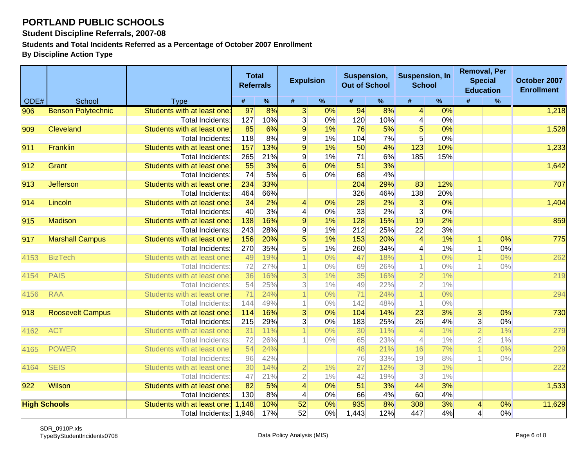### **Student Discipline Referrals, 2007-08**

**Students and Total Incidents Referred as a Percentage of October 2007 Enrollment**

|      |                           |                                                 | <b>Total</b><br><b>Referrals</b> |            | <b>Expulsion</b>         |             | Suspension,<br><b>Out of School</b> |            | <b>Suspension, In</b><br><b>School</b> |                  |                          | <b>Removal, Per</b><br><b>Special</b><br><b>Education</b> | October 2007<br><b>Enrollment</b> |
|------|---------------------------|-------------------------------------------------|----------------------------------|------------|--------------------------|-------------|-------------------------------------|------------|----------------------------------------|------------------|--------------------------|-----------------------------------------------------------|-----------------------------------|
| ODE# | School                    | <b>Type</b>                                     | #                                | %          | #                        | $\%$        | #                                   | $\%$       | #                                      | $\%$             | #                        | %                                                         |                                   |
| 906  | <b>Benson Polytechnic</b> | Students with at least one:                     | 97                               | 8%         | 3 <sup>1</sup>           | 0%          | 94                                  | 8%         | $\vert 4 \vert$                        | 0%               |                          |                                                           | 1,218                             |
|      |                           | Total Incidents:                                | 127                              | 10%        | $\overline{3}$           | 0%          | 120                                 | 10%        | 4                                      | 0%               |                          |                                                           |                                   |
| 909  | Cleveland                 | Students with at least one:                     | 85                               | 6%         | 9                        | 1%          | 76                                  | 5%         | 5 <sup>1</sup>                         | 0%               |                          |                                                           | 1,528                             |
|      |                           | <b>Total Incidents:</b>                         | 118                              | 8%         | 9 <sup>1</sup>           | 1%          | 104                                 | 7%         | 5                                      | 0%               |                          |                                                           |                                   |
| 911  | Franklin                  | Students with at least one:                     | 157                              | 13%        | 9                        | 1%          | 50                                  | 4%         | 123                                    | 10%              |                          |                                                           | 1,233                             |
|      |                           | Total Incidents:                                | 265                              | 21%        | 9 <sup>°</sup>           | 1%          | 71                                  | 6%         | 185                                    | 15%              |                          |                                                           |                                   |
| 912  | Grant                     | Students with at least one:                     | 55                               | 3%         | $6 \mid$                 | 0%          | 51                                  | 3%         |                                        |                  |                          |                                                           | 1,642                             |
|      |                           | Total Incidents:                                | 74                               | 5%         | 6                        | 0%          | 68                                  | 4%         |                                        |                  |                          |                                                           |                                   |
| 913  | <b>Jefferson</b>          | Students with at least one                      | 234                              | 33%        |                          |             | 204                                 | 29%        | 83                                     | 12%              |                          |                                                           | 707                               |
|      |                           | Total Incidents:                                | 464                              | 66%        |                          |             | 326                                 | 46%        | 138                                    | 20%              |                          |                                                           |                                   |
| 914  | Lincoln                   | Students with at least one:                     | 34                               | 2%         | $\vert 4 \vert$          | 0%          | 28                                  | 2%         | $\overline{3}$                         | 0%               |                          |                                                           | 1,404                             |
|      |                           | Total Incidents:                                | 40                               | 3%         | $\vert$                  | 0%          | 33                                  | 2%         | $\overline{3}$                         | 0%               |                          |                                                           |                                   |
| 915  | <b>Madison</b>            | Students with at least one                      | 138                              | 16%        | $\overline{9}$           | 1%          | 128                                 | 15%        | 19                                     | 2%               |                          |                                                           | 859                               |
|      |                           | Total Incidents:                                | 243                              | 28%        | 9                        | 1%          | 212                                 | 25%        | 22                                     | 3%               |                          |                                                           |                                   |
| 917  | <b>Marshall Campus</b>    | Students with at least one                      | 156<br>270                       | 20%<br>35% | $5\overline{)}$          | 1%          | 153                                 | 20%<br>34% | $\overline{\mathcal{L}}$               | 1%               |                          | 0%<br>0%                                                  | 775                               |
| 4153 | <b>BizTech</b>            | Total Incidents:<br>Students with at least one: | 49                               | 19%        | 5                        | 1%<br>$0\%$ | 260<br>47                           | 18%        | 4                                      | 1%<br>$0\%$      |                          | $0\%$                                                     | 262                               |
|      |                           | Total Incidents:                                | 72                               | 27%        |                          | 0%          | 69                                  | 26%        |                                        | $0\%$            |                          | 0%                                                        |                                   |
| 4154 | <b>PAIS</b>               | Students with at least one                      | 36                               | 16%        | 3 <sup>l</sup>           | 1%          | 35                                  | 16%        | $\overline{2}$                         | 1%               |                          |                                                           | 219                               |
|      |                           | Total Incidents:                                | 54                               | 25%        | $\overline{\mathcal{E}}$ | $1\%$       | 49                                  | 22%        |                                        | 1%               |                          |                                                           |                                   |
| 4156 | <b>RAA</b>                | Students with at least one:                     | 71                               | 24%        |                          | 0%          | 71                                  | 24%        |                                        | 0%               |                          |                                                           | 294                               |
|      |                           | <b>Total Incidents:</b>                         | 144                              | 49%        |                          | 0%          | 142                                 | 48%        |                                        | $0\%$            |                          |                                                           |                                   |
| 918  | <b>Roosevelt Campus</b>   | Students with at least one:                     | 114                              | 16%        | 3 <sup>1</sup>           | 0%          | 104                                 | 14%        | 23                                     | 3%               | 3 <sup>1</sup>           | 0%                                                        | 730                               |
|      |                           | <b>Total Incidents:</b>                         | 215                              | 29%        | $\overline{3}$           | 0%          | 183                                 | 25%        | 26                                     | 4%               | 3                        | 0%                                                        |                                   |
| 4162 | <b>ACT</b>                | Students with at least one:                     | 31                               | 11%        |                          | 0%          | 30                                  | 11%        | $\Delta$                               | 1%               | $\overline{2}$           | 1%                                                        | 279                               |
|      |                           | <b>Total Incidents:</b>                         | 72                               | 26%        |                          | 0%          | 65                                  | 23%        | 4                                      | 1%               | $\overline{2}$           | 1%                                                        |                                   |
| 4165 | <b>POWER</b>              | Students with at least one                      | 54                               | 24%        |                          |             | 48                                  | 21%        | 16                                     | 7%               |                          | $0\%$                                                     | 229                               |
|      |                           | Total Incidents:                                | 96                               | 42%        |                          |             | 76                                  | 33%        | 19                                     | 8%               |                          | 0%                                                        |                                   |
| 4164 | <b>SEIS</b>               | Students with at least one                      | 30                               | 14%        | $\overline{2}$           | 1%          | 27                                  | 12%        | $\overline{3}$                         | 1%               |                          |                                                           | 222                               |
|      |                           | Total Incidents:                                | 47                               | 21%        | $\overline{2}$           | 1%          | 42                                  | 19%        | 3                                      | 1%               |                          |                                                           |                                   |
| 922  | Wilson                    | Students with at least one:                     | 82                               | 5%         | $\vert 4 \vert$          | 0%          | 51                                  | 3%         | 44                                     | 3%               |                          |                                                           | 1,533                             |
|      |                           | <b>Total Incidents:</b>                         | 130                              | 8%         | $\overline{4}$           | 0%          | 66                                  | 4%         | 60                                     | 4%               |                          |                                                           |                                   |
|      | <b>High Schools</b>       | Students with at least one:                     | 1,148                            | 10%        | 52                       | $0\%$       | 935                                 | 8%         | 308                                    | $\overline{3\%}$ | $\overline{\mathcal{A}}$ | $0\%$                                                     | 11,629                            |
|      |                           | Total Incidents:                                | 1,946                            | 17%        | 52                       | 0%          | 1,443                               | 12%        | 447                                    | 4%               | 4                        | 0%                                                        |                                   |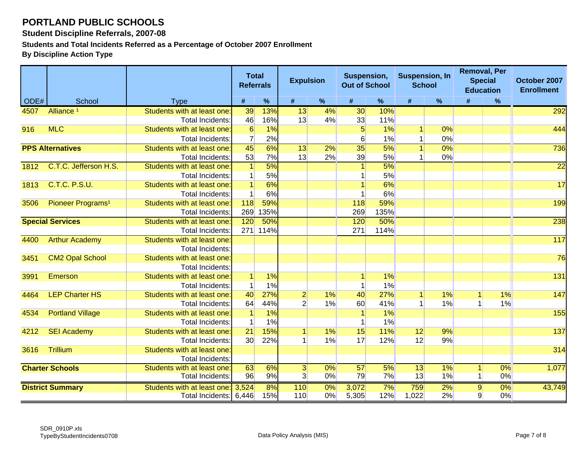#### **Student Discipline Referrals, 2007-08**

**Students and Total Incidents Referred as a Percentage of October 2007 Enrollment**

|      |                               |                             | <b>Total</b>         | <b>Referrals</b> | <b>Expulsion</b> |       | Suspension,<br><b>Out of School</b> |                  | <b>Suspension, In</b><br><b>School</b> |       | <b>Removal, Per</b><br><b>Special</b><br><b>Education</b> |       | October 2007<br><b>Enrollment</b> |
|------|-------------------------------|-----------------------------|----------------------|------------------|------------------|-------|-------------------------------------|------------------|----------------------------------------|-------|-----------------------------------------------------------|-------|-----------------------------------|
| ODE# | School                        | <b>Type</b>                 | #                    | %                | #                | %     | #                                   | %                | #                                      | %     | #                                                         | $\%$  |                                   |
| 4507 | Alliance <sup>1</sup>         | Students with at least one: | 39                   | 13%              | 13               | 4%    | 30                                  | 10%              |                                        |       |                                                           |       | 292                               |
|      |                               | <b>Total Incidents:</b>     | 46                   | 16%              | 13               | 4%    | 33                                  | 11%              |                                        |       |                                                           |       |                                   |
| 916  | <b>MLC</b>                    | Students with at least one: | $6\overline{6}$      | 1%               |                  |       | 5                                   | 1%               |                                        | 0%    |                                                           |       | 444                               |
|      |                               | <b>Total Incidents:</b>     | $\overline{7}$       | 2%               |                  |       | 6                                   | 1%               |                                        | 0%    |                                                           |       |                                   |
|      | <b>PPS Alternatives</b>       | Students with at least one: | 45                   | 6%               | 13               | $2\%$ | $\overline{35}$                     | $\overline{5\%}$ | $\mathbf{1}$                           | $0\%$ |                                                           |       | 736                               |
|      |                               | Total Incidents:            | 53                   | 7%               | 13               | 2%    | 39                                  | 5%               |                                        | 0%    |                                                           |       |                                   |
| 1812 | C.T.C. Jefferson H.S.         | Students with at least one: | $\blacktriangleleft$ | 5%               |                  |       | 1                                   | 5%               |                                        |       |                                                           |       | 22                                |
|      |                               | Total Incidents:            |                      | 5%               |                  |       |                                     | 5%               |                                        |       |                                                           |       |                                   |
| 1813 | C.T.C. P.S.U.                 | Students with at least one: |                      | 6%               |                  |       |                                     | 6%               |                                        |       |                                                           |       | 17                                |
|      |                               | <b>Total Incidents:</b>     |                      | 6%               |                  |       |                                     | 6%               |                                        |       |                                                           |       |                                   |
| 3506 | Pioneer Programs <sup>1</sup> | Students with at least one: | 118                  | 59%              |                  |       | 118                                 | 59%              |                                        |       |                                                           |       | 199                               |
|      |                               | Total Incidents:            | 269                  | 135%             |                  |       | 269                                 | 135%             |                                        |       |                                                           |       |                                   |
|      | <b>Special Services</b>       | Students with at least one: | 120                  | 50%              |                  |       | 120                                 | 50%              |                                        |       |                                                           |       | 238                               |
|      |                               | Total Incidents:            | 271                  | 114%             |                  |       | 271                                 | 114%             |                                        |       |                                                           |       |                                   |
| 4400 | <b>Arthur Academy</b>         | Students with at least one: |                      |                  |                  |       |                                     |                  |                                        |       |                                                           |       | 117                               |
|      |                               | <b>Total Incidents:</b>     |                      |                  |                  |       |                                     |                  |                                        |       |                                                           |       |                                   |
| 3451 | <b>CM2 Opal School</b>        | Students with at least one: |                      |                  |                  |       |                                     |                  |                                        |       |                                                           |       | 76                                |
|      |                               | <b>Total Incidents:</b>     |                      |                  |                  |       |                                     |                  |                                        |       |                                                           |       |                                   |
| 3991 | Emerson                       | Students with at least one: | $\mathbf{1}$         | 1%               |                  |       |                                     | 1%               |                                        |       |                                                           |       | $131$                             |
|      |                               | Total Incidents:            | $\mathbf 1$          | 1%               |                  |       |                                     | 1%               |                                        |       |                                                           |       |                                   |
| 4464 | <b>LEP Charter HS</b>         | Students with at least one  | 40                   | 27%              | $\overline{2}$   | 1%    | 40                                  | 27%              |                                        | 1%    |                                                           | 1%    | 147                               |
|      |                               | Total Incidents:            | 64                   | 44%              | $\overline{2}$   | 1%    | 60                                  | 41%              |                                        | 1%    |                                                           | 1%    |                                   |
| 4534 | <b>Portland Village</b>       | Students with at least one: | $\blacktriangleleft$ | 1%               |                  |       |                                     | 1%               |                                        |       |                                                           |       | 155                               |
|      |                               | Total Incidents:            |                      | 1%               |                  |       |                                     | 1%               |                                        |       |                                                           |       |                                   |
| 4212 | <b>SEI Academy</b>            | Students with at least one: | 21                   | 15%              |                  | 1%    | 15                                  | 11%              | 12                                     | 9%    |                                                           |       | 137                               |
|      |                               | Total Incidents:            | 30 <sup>°</sup>      | 22%              |                  | 1%    | 17                                  | 12%              | 12                                     | 9%    |                                                           |       |                                   |
| 3616 | <b>Trillium</b>               | Students with at least one: |                      |                  |                  |       |                                     |                  |                                        |       |                                                           |       | 314                               |
|      |                               | <b>Total Incidents:</b>     |                      |                  |                  |       |                                     |                  |                                        |       |                                                           |       |                                   |
|      | <b>Charter Schools</b>        | Students with at least one: | 63                   | 6%               | 3 <sup>1</sup>   | $0\%$ | 57                                  | 5%               | 13                                     | $1\%$ |                                                           | $0\%$ | 1,077                             |
|      |                               | <b>Total Incidents:</b>     | 96                   | 9%               | 3                | 0%    | 79                                  | 7%               | 13                                     | 1%    |                                                           | 0%    |                                   |
|      | <b>District Summary</b>       | Students with at least one: | 3,524                | 8%               | 110              | $0\%$ | 3,072                               | 7%               | 759                                    | 2%    | $\overline{9}$                                            | 0%    | 43,749                            |
|      |                               | Total Incidents: 6,446      |                      | 15%              | 110              | 0%    | 5,305                               | 12%              | 1,022                                  | 2%    | 9                                                         | 0%    |                                   |